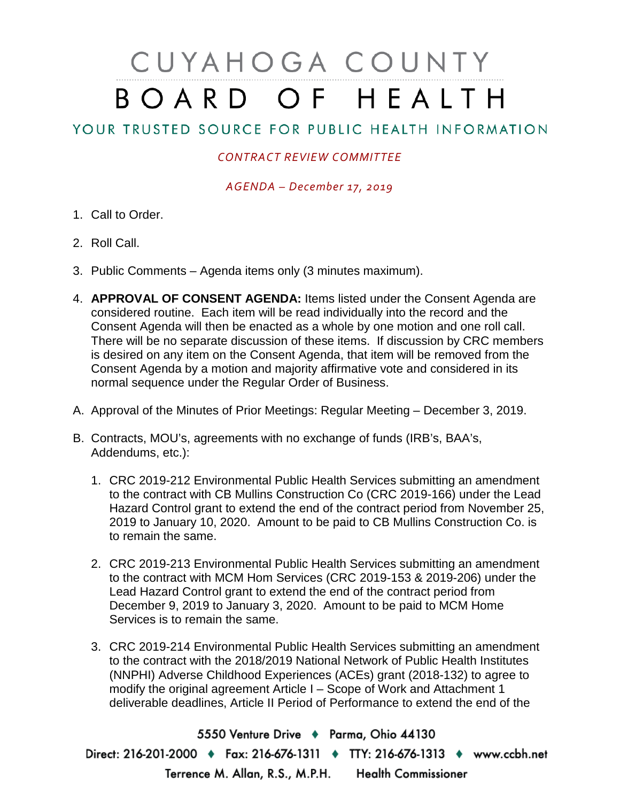## CUYAHOGA COUNTY BOARD OF HEALTH

## YOUR TRUSTED SOURCE FOR PUBLIC HEALTH INFORMATION

## *CONTRACT REVIEW COMMITTEE*

*AGENDA – December 17, 2019*

- 1. Call to Order.
- 2. Roll Call.
- 3. Public Comments Agenda items only (3 minutes maximum).
- 4. **APPROVAL OF CONSENT AGENDA:** Items listed under the Consent Agenda are considered routine. Each item will be read individually into the record and the Consent Agenda will then be enacted as a whole by one motion and one roll call. There will be no separate discussion of these items. If discussion by CRC members is desired on any item on the Consent Agenda, that item will be removed from the Consent Agenda by a motion and majority affirmative vote and considered in its normal sequence under the Regular Order of Business.
- A. Approval of the Minutes of Prior Meetings: Regular Meeting December 3, 2019.
- B. Contracts, MOU's, agreements with no exchange of funds (IRB's, BAA's, Addendums, etc.):
	- 1. CRC 2019-212 Environmental Public Health Services submitting an amendment to the contract with CB Mullins Construction Co (CRC 2019-166) under the Lead Hazard Control grant to extend the end of the contract period from November 25, 2019 to January 10, 2020. Amount to be paid to CB Mullins Construction Co. is to remain the same.
	- 2. CRC 2019-213 Environmental Public Health Services submitting an amendment to the contract with MCM Hom Services (CRC 2019-153 & 2019-206) under the Lead Hazard Control grant to extend the end of the contract period from December 9, 2019 to January 3, 2020. Amount to be paid to MCM Home Services is to remain the same.
	- 3. CRC 2019-214 Environmental Public Health Services submitting an amendment to the contract with the 2018/2019 National Network of Public Health Institutes (NNPHI) Adverse Childhood Experiences (ACEs) grant (2018-132) to agree to modify the original agreement Article I – Scope of Work and Attachment 1 deliverable deadlines, Article II Period of Performance to extend the end of the

5550 Venture Drive + Parma, Ohio 44130 Direct: 216-201-2000 • Fax: 216-676-1311 • TTY: 216-676-1313 • www.ccbh.net Terrence M. Allan, R.S., M.P.H. Health Commissioner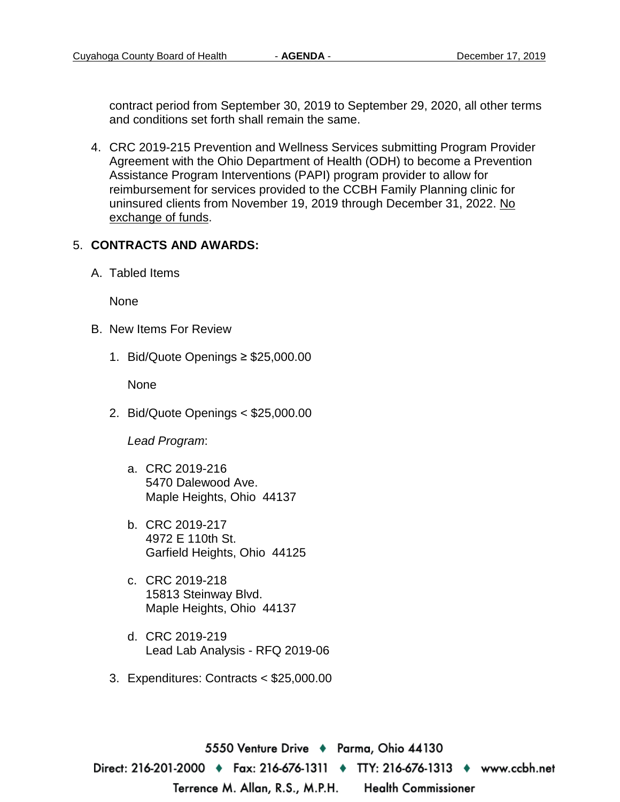contract period from September 30, 2019 to September 29, 2020, all other terms and conditions set forth shall remain the same.

4. CRC 2019-215 Prevention and Wellness Services submitting Program Provider Agreement with the Ohio Department of Health (ODH) to become a Prevention Assistance Program Interventions (PAPI) program provider to allow for reimbursement for services provided to the CCBH Family Planning clinic for uninsured clients from November 19, 2019 through December 31, 2022. No exchange of funds.

## 5. **CONTRACTS AND AWARDS:**

A. Tabled Items

None

- B. New Items For Review
	- 1. Bid/Quote Openings ≥ \$25,000.00

None

2. Bid/Quote Openings < \$25,000.00

*Lead Program*:

- a. CRC 2019-216 5470 Dalewood Ave. Maple Heights, Ohio 44137
- b. CRC 2019-217 4972 E 110th St. Garfield Heights, Ohio 44125
- c. CRC 2019-218 15813 Steinway Blvd. Maple Heights, Ohio 44137
- d. CRC 2019-219 Lead Lab Analysis - RFQ 2019-06
- 3. Expenditures: Contracts < \$25,000.00

5550 Venture Drive → Parma, Ohio 44130 Direct: 216-201-2000 • Fax: 216-676-1311 • TTY: 216-676-1313 • www.ccbh.net Terrence M. Allan, R.S., M.P.H. **Health Commissioner**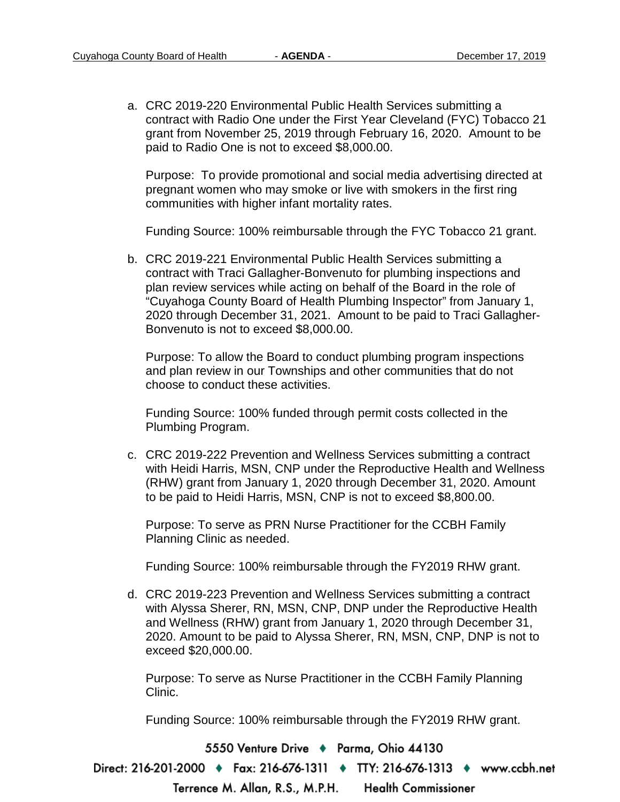a. CRC 2019-220 Environmental Public Health Services submitting a contract with Radio One under the First Year Cleveland (FYC) Tobacco 21 grant from November 25, 2019 through February 16, 2020. Amount to be paid to Radio One is not to exceed \$8,000.00.

Purpose: To provide promotional and social media advertising directed at pregnant women who may smoke or live with smokers in the first ring communities with higher infant mortality rates.

Funding Source: 100% reimbursable through the FYC Tobacco 21 grant.

b. CRC 2019-221 Environmental Public Health Services submitting a contract with Traci Gallagher-Bonvenuto for plumbing inspections and plan review services while acting on behalf of the Board in the role of "Cuyahoga County Board of Health Plumbing Inspector" from January 1, 2020 through December 31, 2021. Amount to be paid to Traci Gallagher-Bonvenuto is not to exceed \$8,000.00.

Purpose: To allow the Board to conduct plumbing program inspections and plan review in our Townships and other communities that do not choose to conduct these activities.

Funding Source: 100% funded through permit costs collected in the Plumbing Program.

c. CRC 2019-222 Prevention and Wellness Services submitting a contract with Heidi Harris, MSN, CNP under the Reproductive Health and Wellness (RHW) grant from January 1, 2020 through December 31, 2020. Amount to be paid to Heidi Harris, MSN, CNP is not to exceed \$8,800.00.

Purpose: To serve as PRN Nurse Practitioner for the CCBH Family Planning Clinic as needed.

Funding Source: 100% reimbursable through the FY2019 RHW grant.

d. CRC 2019-223 Prevention and Wellness Services submitting a contract with Alyssa Sherer, RN, MSN, CNP, DNP under the Reproductive Health and Wellness (RHW) grant from January 1, 2020 through December 31, 2020. Amount to be paid to Alyssa Sherer, RN, MSN, CNP, DNP is not to exceed \$20,000.00.

Purpose: To serve as Nurse Practitioner in the CCBH Family Planning Clinic.

Funding Source: 100% reimbursable through the FY2019 RHW grant.

5550 Venture Drive + Parma, Ohio 44130

Direct: 216-201-2000 ♦ Fax: 216-676-1311 ♦ TTY: 216-676-1313 ♦ www.ccbh.net

Terrence M. Allan, R.S., M.P.H. **Health Commissioner**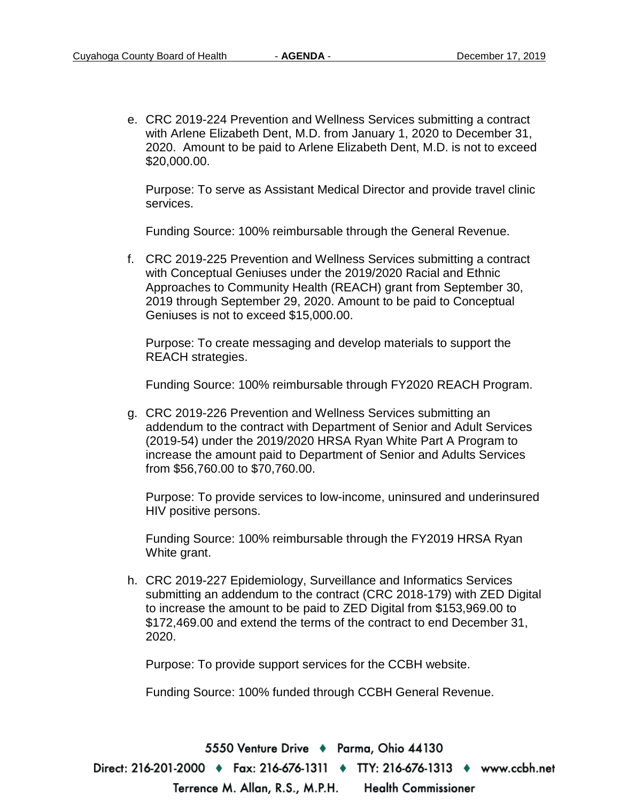e. CRC 2019-224 Prevention and Wellness Services submitting a contract with Arlene Elizabeth Dent, M.D. from January 1, 2020 to December 31, 2020. Amount to be paid to Arlene Elizabeth Dent, M.D. is not to exceed \$20,000.00.

Purpose: To serve as Assistant Medical Director and provide travel clinic services.

Funding Source: 100% reimbursable through the General Revenue.

f. CRC 2019-225 Prevention and Wellness Services submitting a contract with Conceptual Geniuses under the 2019/2020 Racial and Ethnic Approaches to Community Health (REACH) grant from September 30, 2019 through September 29, 2020. Amount to be paid to Conceptual Geniuses is not to exceed \$15,000.00.

Purpose: To create messaging and develop materials to support the REACH strategies.

Funding Source: 100% reimbursable through FY2020 REACH Program.

g. CRC 2019-226 Prevention and Wellness Services submitting an addendum to the contract with Department of Senior and Adult Services (2019-54) under the 2019/2020 HRSA Ryan White Part A Program to increase the amount paid to Department of Senior and Adults Services from \$56,760.00 to \$70,760.00.

Purpose: To provide services to low-income, uninsured and underinsured HIV positive persons.

Funding Source: 100% reimbursable through the FY2019 HRSA Ryan White grant.

h. CRC 2019-227 Epidemiology, Surveillance and Informatics Services submitting an addendum to the contract (CRC 2018-179) with ZED Digital to increase the amount to be paid to ZED Digital from \$153,969.00 to \$172,469.00 and extend the terms of the contract to end December 31, 2020.

Purpose: To provide support services for the CCBH website.

Funding Source: 100% funded through CCBH General Revenue.

5550 Venture Drive → Parma, Ohio 44130 Direct: 216-201-2000 ♦ Fax: 216-676-1311 ♦ TTY: 216-676-1313 ♦ www.ccbh.net **Health Commissioner** Terrence M. Allan, R.S., M.P.H.